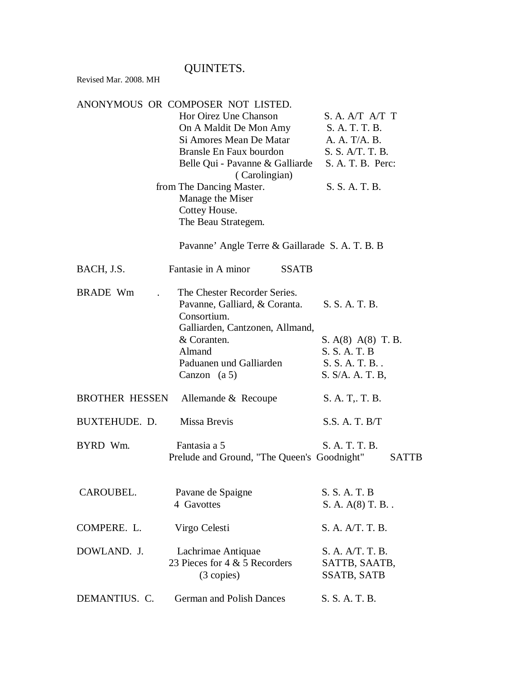## QUINTETS.

Revised Mar. 2008. MH

|                       | ANONYMOUS OR COMPOSER NOT LISTED.               |                                     |
|-----------------------|-------------------------------------------------|-------------------------------------|
|                       | Hor Oirez Une Chanson                           | S. A. A/T A/T T                     |
|                       | On A Maldit De Mon Amy                          | S. A. T. T. B.                      |
|                       | Si Amores Mean De Matar                         | A. A. T/A. B.                       |
|                       | Bransle En Faux bourdon                         | S. S. A/T. T. B.                    |
|                       | Belle Qui - Pavanne & Galliarde                 | S. A. T. B. Perc:                   |
|                       | (Carolingian)                                   |                                     |
|                       | from The Dancing Master.                        | S. S. A. T. B.                      |
|                       | Manage the Miser                                |                                     |
|                       | Cottey House.                                   |                                     |
|                       | The Beau Strategem.                             |                                     |
|                       | Pavanne' Angle Terre & Gaillarade S. A. T. B. B |                                     |
| BACH, J.S.            | Fantasie in A minor<br><b>SSATB</b>             |                                     |
| <b>BRADE Wm</b>       | The Chester Recorder Series.                    |                                     |
|                       | Pavanne, Galliard, & Coranta.                   | S. S. A. T. B.                      |
|                       | Consortium.                                     |                                     |
|                       | Galliarden, Cantzonen, Allmand,                 |                                     |
|                       | & Coranten.                                     | S. $A(8)$ $A(8)$ T. B.              |
|                       | Almand                                          | S. S. A. T. B                       |
|                       | Paduanen und Galliarden                         | S. S. A. T. B                       |
|                       | Canzon $(a 5)$                                  | S. S/A. A. T. B,                    |
| <b>BROTHER HESSEN</b> | Allemande & Recoupe                             | S. A. T. T. B.                      |
| BUXTEHUDE. D.         | Missa Brevis                                    | S.S. A. T. B/T                      |
| BYRD Wm.              | Fantasia a 5                                    | S. A. T. T. B.                      |
|                       | Prelude and Ground, "The Queen's Goodnight"     | SATTB                               |
| CAROUBEL.             | Pavane de Spaigne                               | S. S. A. T. B                       |
|                       | 4 Gavottes                                      | S. A. A(8) T. B                     |
| COMPERE. L.           | Virgo Celesti                                   | S. A. A/T. T. B.                    |
| DOWLAND. J.           | Lachrimae Antiquae                              | S. A. A/T. T. B.                    |
|                       | 23 Pieces for 4 & 5 Recorders<br>(3 copies)     | SATTB, SAATB,<br><b>SSATB, SATB</b> |
| DEMANTIUS. C.         | <b>German and Polish Dances</b>                 | S. S. A. T. B.                      |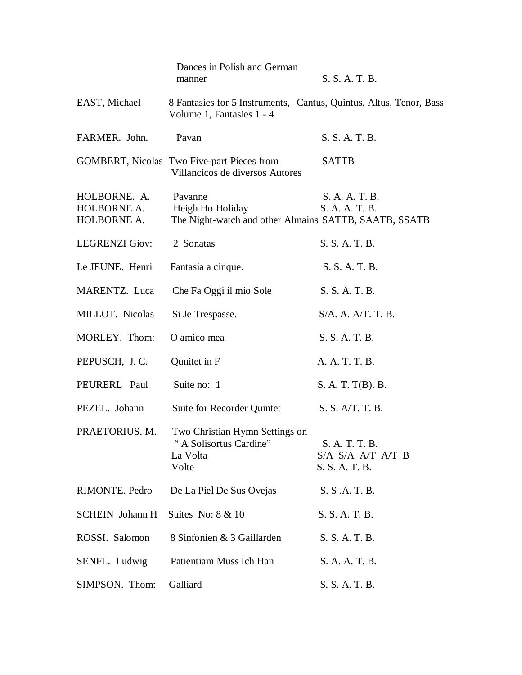|                                            | Dances in Polish and German<br>manner                                                           | S. S. A. T. B.                                        |
|--------------------------------------------|-------------------------------------------------------------------------------------------------|-------------------------------------------------------|
| EAST, Michael                              | 8 Fantasies for 5 Instruments, Cantus, Quintus, Altus, Tenor, Bass<br>Volume 1, Fantasies 1 - 4 |                                                       |
| FARMER. John.                              | Pavan                                                                                           | S. S. A. T. B.                                        |
|                                            | <b>GOMBERT, Nicolas Two Five-part Pieces from</b><br>Villancicos de diversos Autores            | <b>SATTB</b>                                          |
| HOLBORNE. A.<br>HOLBORNE A.<br>HOLBORNE A. | Pavanne<br>Heigh Ho Holiday<br>The Night-watch and other Almains SATTB, SAATB, SSATB            | S. A. A. T. B.<br>S. A. A. T. B.                      |
| <b>LEGRENZI Giov:</b>                      | 2 Sonatas                                                                                       | S. S. A. T. B.                                        |
| Le JEUNE. Henri                            | Fantasia a cinque.                                                                              | S. S. A. T. B.                                        |
| MARENTZ. Luca                              | Che Fa Oggi il mio Sole                                                                         | S. S. A. T. B.                                        |
| MILLOT. Nicolas                            | Si Je Trespasse.                                                                                | S/A. A. A/T. T. B.                                    |
| MORLEY. Thom:                              | O amico mea                                                                                     | S. S. A. T. B.                                        |
| PEPUSCH, J.C.                              | Qunitet in F                                                                                    | A. A. T. T. B.                                        |
| PEURERL Paul                               | Suite no: 1                                                                                     | S. A. T. T(B). B.                                     |
| PEZEL. Johann                              | Suite for Recorder Quintet                                                                      | S. S. A/T. T. B.                                      |
| PRAETORIUS. M.                             | Two Christian Hymn Settings on<br>"A Solisortus Cardine"<br>La Volta<br>Volte                   | S. A. T. T. B.<br>S/A S/A A/T A/T B<br>S. S. A. T. B. |
| RIMONTE. Pedro                             | De La Piel De Sus Ovejas                                                                        | S. S.A. T. B.                                         |
| <b>SCHEIN</b> Johann H                     | Suites No: $8 \& 10$                                                                            | S. S. A. T. B.                                        |
| ROSSI. Salomon                             | 8 Sinfonien & 3 Gaillarden                                                                      | S. S. A. T. B.                                        |
| SENFL. Ludwig                              | Patientiam Muss Ich Han                                                                         | S. A. A. T. B.                                        |
| SIMPSON. Thom:                             | Galliard                                                                                        | S. S. A. T. B.                                        |